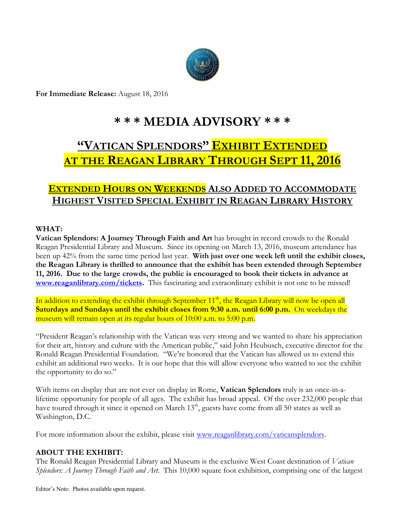

**For Immediate Release:** August 18, 2016

# **\* \* \* MEDIA ADVISORY \* \* \***

# **"VATICAN SPLENDORS" EXHIBIT EXTENDED AT THE REAGAN LIBRARY THROUGH SEPT 11, 2016**

## **EXTENDED HOURS ON WEEKENDS ALSO ADDED TO ACCOMMODATE HIGHEST VISITED SPECIAL EXHIBIT IN REAGAN LIBRARY HISTORY**

### **WHAT:**

**Vatican Splendors: A Journey Through Faith and Art** has brought in record crowds to the Ronald Reagan Presidential Library and Museum. Since its opening on March 13, 2016, museum attendance has been up 42% from the same time period last year. **With just over one week left until the exhibit closes, the Reagan Library is thrilled to announce that the exhibit has been extended through September 11, 2016. Due to the large crowds, the public is encouraged to book their tickets in advance at [www.reaganlibrary.com/tickets.](http://www.reaganlibrary.com/tickets)** This fascinating and extraordinary exhibit is not one to be missed!

In addition to extending the exhibit through September 11<sup>th</sup>, the Reagan Library will now be open all **Saturdays and Sundays until the exhibit closes from 9:30 a.m. until 6:00 p.m.** On weekdays the museum will remain open at its regular hours of 10:00 a.m. to 5:00 p.m.

"President Reagan's relationship with the Vatican was very strong and we wanted to share his appreciation for their art, history and culture with the American public," said John Heubusch, executive director for the Ronald Reagan Presidential Foundation. "We're honored that the Vatican has allowed us to extend this exhibit an additional two weeks. It is our hope that this will allow everyone who wanted to see the exhibit the opportunity to do so."

With items on display that are not ever on display in Rome, **Vatican Splendors** truly is an once-in-alifetime opportunity for people of all ages. The exhibit has broad appeal. Of the over 232,000 people that have toured through it since it opened on March 13<sup>th</sup>, guests have come from all 50 states as well as Washington, D.C.

For more information about the exhibit, please visit [www.reaganlibrary.com/vaticansplendors.](http://www.reaganlibrary.com/vaticansplendors)

### **ABOUT THE EXHIBIT:**

The Ronald Reagan Presidential Library and Museum is the exclusive West Coast destination of *Vatican Splendors: A Journey Through Faith and Art*. This 10,000 square foot exhibition, comprising one of the largest

Editor's Note: Photos available upon request.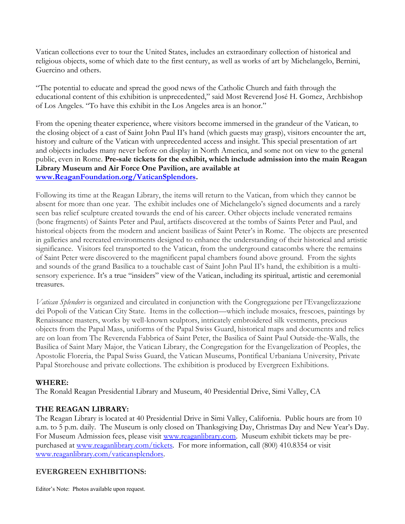Vatican collections ever to tour the United States, includes an extraordinary collection of historical and religious objects, some of which date to the first century, as well as works of art by Michelangelo, Bernini, Guercino and others.

"The potential to educate and spread the good news of the Catholic Church and faith through the educational content of this exhibition is unprecedented," said Most Reverend José H. Gomez, Archbishop of Los Angeles. "To have this exhibit in the Los Angeles area is an honor."

From the opening theater experience, where visitors become immersed in the grandeur of the Vatican, to the closing object of a cast of Saint John Paul II's hand (which guests may grasp), visitors encounter the art, history and culture of the Vatican with unprecedented access and insight. This special presentation of art and objects includes many never before on display in North America, and some not on view to the general public, even in Rome. **Pre-sale tickets for the exhibit, which include admission into the main Reagan Library Museum and Air Force One Pavilion, are available at [www.ReaganFoundation.org/VaticanSplendors.](http://www.reaganfoundation.org/VaticanSplendors)** 

Following its time at the Reagan Library, the items will return to the Vatican, from which they cannot be absent for more than one year. The exhibit includes one of Michelangelo's signed documents and a rarely seen bas relief sculpture created towards the end of his career. Other objects include venerated remains (bone fragments) of Saints Peter and Paul, artifacts discovered at the tombs of Saints Peter and Paul, and historical objects from the modern and ancient basilicas of Saint Peter's in Rome. The objects are presented in galleries and recreated environments designed to enhance the understanding of their historical and artistic significance. Visitors feel transported to the Vatican, from the underground catacombs where the remains of Saint Peter were discovered to the magnificent papal chambers found above ground. From the sights and sounds of the grand Basilica to a touchable cast of Saint John Paul II's hand, the exhibition is a multisensory experience. It's a true "insiders" view of the Vatican, including its spiritual, artistic and ceremonial treasures.

*Vatican Splendors* is organized and circulated in conjunction with the Congregazione per l'Evangelizzazione dei Popoli of the Vatican City State. Items in the collection—which include mosaics, frescoes, paintings by Renaissance masters, works by well-known sculptors, intricately embroidered silk vestments, precious objects from the Papal Mass, uniforms of the Papal Swiss Guard, historical maps and documents and relics are on loan from The Reverenda Fabbrica of Saint Peter, the Basilica of Saint Paul Outside-the-Walls, the Basilica of Saint Mary Major, the Vatican Library, the Congregation for the Evangelization of Peoples, the Apostolic Floreria, the Papal Swiss Guard, the Vatican Museums, Pontifical Urbaniana University, Private Papal Storehouse and private collections. The exhibition is produced by Evergreen Exhibitions.

#### **WHERE:**

The Ronald Reagan Presidential Library and Museum, 40 Presidential Drive, Simi Valley, CA

### **THE REAGAN LIBRARY:**

The Reagan Library is located at 40 Presidential Drive in Simi Valley, California. Public hours are from 10 a.m. to 5 p.m. daily. The Museum is only closed on Thanksgiving Day, Christmas Day and New Year's Day. For Museum Admission fees, please visit [www.reaganlibrary.com.](http://www.reaganlibrary.com/) Museum exhibit tickets may be prepurchased at [www.reaganlibrary.com/tickets.](http://www.reaganlibrary.com/tickets) For more information, call (800) 410.8354 or visit [www.reaganlibrary.com/vaticansplendors.](http://www.reaganlibrary.com/vaticansplendors)

### **EVERGREEN EXHIBITIONS:**

Editor's Note: Photos available upon request.